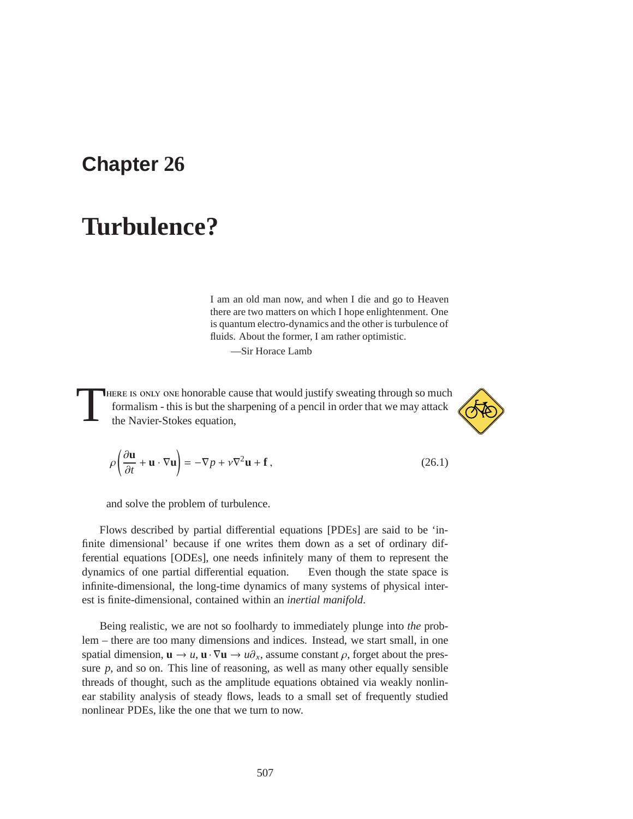## **Chapter 26**

# **Turbulence?**

I am an old man now, and when I die and go to Heaven there are two matters on which I hope enlightenment. One is quantum electro-dynamics and the other is turbulence of fluids. About the former, I am rather optimistic.

—Sir Horace Lamb

T HERE IS ONLY ONE honorable cause that would justify sweating through so much formalism - this is but the sharpening of a pencil in order that we may attack the Navier-Stokes equation,



$$
\rho \left( \frac{\partial \mathbf{u}}{\partial t} + \mathbf{u} \cdot \nabla \mathbf{u} \right) = -\nabla p + \nu \nabla^2 \mathbf{u} + \mathbf{f},
$$
\n(26.1)

and solve the problem of turbulence.

Flows described by partial differential equations [PDEs] are said to be 'infinite dimensional' because if one writes them down as a set of ordinary differential equations [ODEs], one needs infinitely many of them to represent the dynamics of one partial differential equation. Even though the state space is infinite-dimensional, the long-time dynamics of many systems of physical interest is finite-dimensional, contained within an *inertial manifold*.

Being realistic, we are not so foolhardy to immediately plunge into *the* problem – there are too many dimensions and indices. Instead, we start small, in one spatial dimension,  $\mathbf{u} \to u$ ,  $\mathbf{u} \cdot \nabla \mathbf{u} \to u \partial_x$ , assume constant  $\rho$ , forget about the pressure *, and so on. This line of reasoning, as well as many other equally sensible* threads of thought, such as the amplitude equations obtained via weakly nonlinear stability analysis of steady flows, leads to a small set of frequently studied nonlinear PDEs, like the one that we turn to now.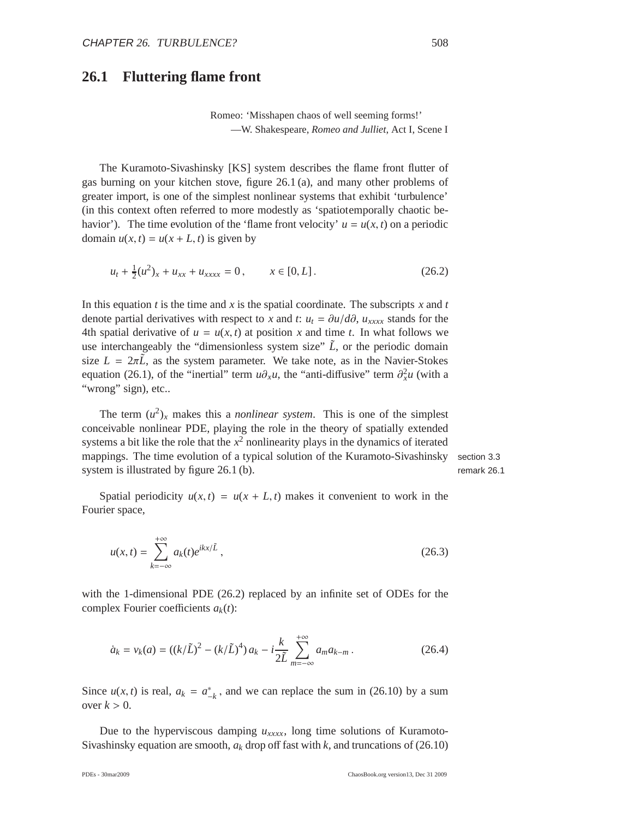#### **26.1 Fluttering flame front**

Romeo: 'Misshapen chaos of well seeming forms!' —W. Shakespeare, *Romeo and Julliet*, Act I, Scene I

The Kuramoto-Sivashinsky [KS] system describes the flame front flutter of gas burning on your kitchen stove, figure 26.1 (a), and many other problems of greater import, is one of the simplest nonlinear systems that exhibit 'turbulence' (in this context often referred to more modestly as 'spatiotemporally chaotic behavior'). The time evolution of the 'flame front velocity'  $u = u(x, t)$  on a periodic domain  $u(x, t) = u(x + L, t)$  is given by

$$
u_t + \frac{1}{2}(u^2)_x + u_{xx} + u_{xxxx} = 0, \qquad x \in [0, L].
$$
 (26.2)

In this equation *t* is the time and *x* is the spatial coordinate. The subscripts *x* and *t* denote partial derivatives with respect to *x* and *t*:  $u_t = \frac{\partial u}{d\theta}$ ,  $u_{xxxx}$  stands for the 4th spatial derivative of  $u = u(x, t)$  at position x and time t. In what follows we use interchangeably the "dimensionless system size"  $\tilde{L}$ , or the periodic domain size  $L = 2\pi \tilde{L}$ , as the system parameter. We take note, as in the Navier-Stokes equation (26.1), of the "inertial" term  $u\partial_x u$ , the "anti-diffusive" term  $\partial_x^2 u$  (with a "wrong" sign), etc..

The term  $(u^2)_x$  makes this a *nonlinear system*. This is one of the simplest conceivable nonlinear PDE, playing the role in the theory of spatially extended systems a bit like the role that the  $x^2$  nonlinearity plays in the dynamics of iterated mappings. The time evolution of a typical solution of the Kuramoto-Sivashinsky section 3.3 system is illustrated by figure 26.1 (b). The remark 26.1

Spatial periodicity  $u(x, t) = u(x + L, t)$  makes it convenient to work in the Fourier space,

$$
u(x,t) = \sum_{k=-\infty}^{+\infty} a_k(t)e^{ikx/\tilde{L}},
$$
\n(26.3)

with the 1-dimensional PDE (26.2) replaced by an infinite set of ODEs for the complex Fourier coefficients  $a_k(t)$ :

$$
\dot{a}_k = v_k(a) = ((k/\tilde{L})^2 - (k/\tilde{L})^4) a_k - i \frac{k}{2\tilde{L}} \sum_{m=-\infty}^{+\infty} a_m a_{k-m} \,. \tag{26.4}
$$

Since  $u(x, t)$  is real,  $a_k = a_{-k}^*$ , and we can replace the sum in (26.10) by a sum over  $k > 0$ .

Due to the hyperviscous damping  $u_{xxxx}$ , long time solutions of Kuramoto-Sivashinsky equation are smooth,  $a_k$  drop off fast with  $k$ , and truncations of (26.10)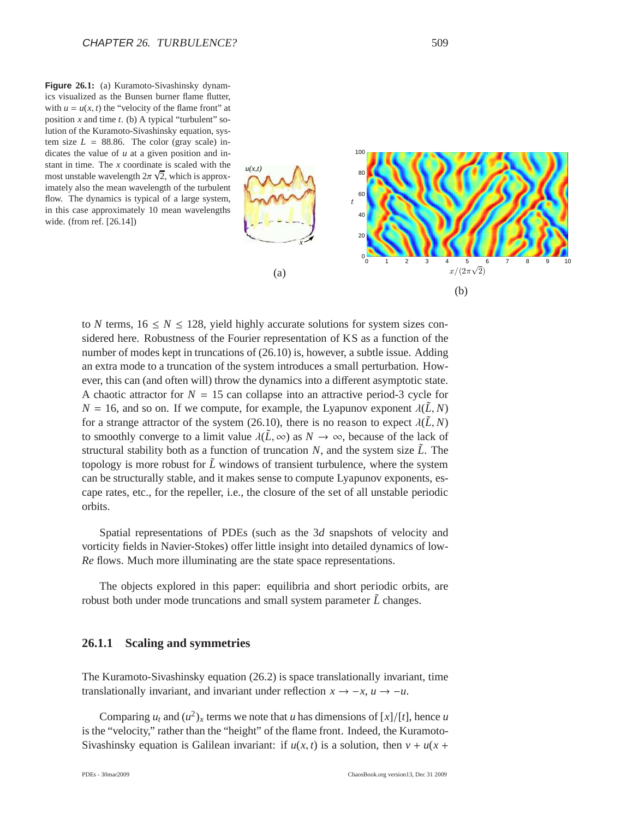**Figure 26.1:** (a) Kuramoto-Sivashinsky dynamics visualized as the Bunsen burner flame flutter, with  $u = u(x, t)$  the "velocity of the flame front" at position *x* and time *t*. (b) A typical "turbulent" solution of the Kuramoto-Sivashinsky equation, system size  $L = 88.86$ . The color (gray scale) indicates the value of *u* at a given position and instant in time. The *x* coordinate is scaled with the most unstable wavelength  $2\pi\sqrt{2}$ , which is approximately also the mean wavelength of the turbulent flow. The dynamics is typical of a large system, in this case approximately 10 mean wavelengths wide. (from ref. [26.14])



to *N* terms,  $16 \le N \le 128$ , yield highly accurate solutions for system sizes considered here. Robustness of the Fourier representation of KS as a function of the number of modes kept in truncations of (26.10) is, however, a subtle issue. Adding an extra mode to a truncation of the system introduces a small perturbation. However, this can (and often will) throw the dynamics into a different asymptotic state. A chaotic attractor for  $N = 15$  can collapse into an attractive period-3 cycle for  $N = 16$ , and so on. If we compute, for example, the Lyapunov exponent  $\lambda(\tilde{L}, N)$ for a strange attractor of the system (26.10), there is no reason to expect  $\lambda(\tilde{L}, N)$ to smoothly converge to a limit value  $\lambda(\tilde{L}, \infty)$  as  $N \to \infty$ , because of the lack of structural stability both as a function of truncation *N*, and the system size  $\tilde{L}$ . The topology is more robust for  $\tilde{L}$  windows of transient turbulence, where the system can be structurally stable, and it makes sense to compute Lyapunov exponents, escape rates, etc., for the repeller, i.e., the closure of the set of all unstable periodic orbits.

Spatial representations of PDEs (such as the 3*d* snapshots of velocity and vorticity fields in Navier-Stokes) offer little insight into detailed dynamics of low-*Re* flows. Much more illuminating are the state space representations.

The objects explored in this paper: equilibria and short periodic orbits, are robust both under mode truncations and small system parameter  $\tilde{L}$  changes.

#### **26.1.1 Scaling and symmetries**

The Kuramoto-Sivashinsky equation (26.2) is space translationally invariant, time translationally invariant, and invariant under reflection  $x \to -x$ ,  $u \to -u$ .

Comparing  $u_t$  and  $(u^2)_x$  terms we note that *u* has dimensions of [*x*]/[*t*], hence *u* is the "velocity," rather than the "height" of the flame front. Indeed, the Kuramoto-Sivashinsky equation is Galilean invariant: if  $u(x, t)$  is a solution, then  $v + u(x + t)$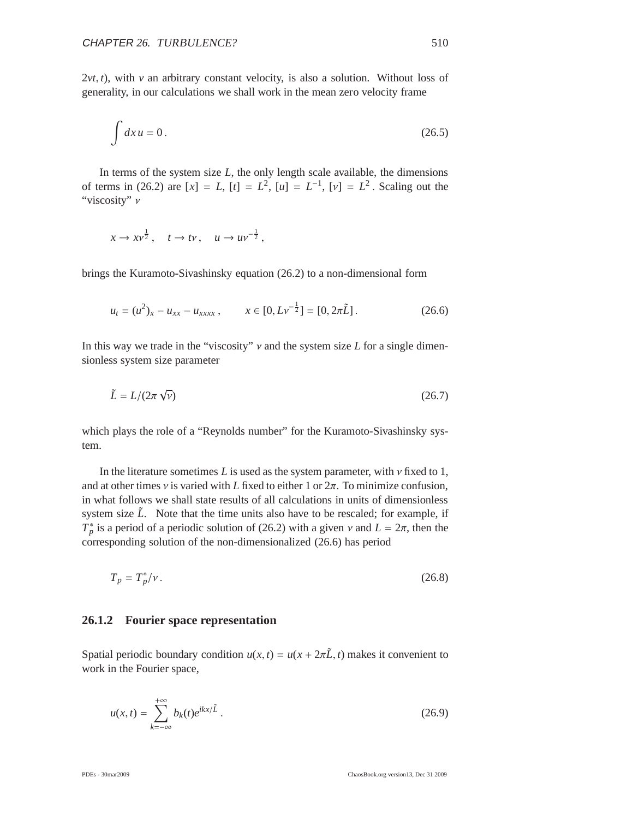$2vt, t$ , with  $v$  an arbitrary constant velocity, is also a solution. Without loss of generality, in our calculations we shall work in the mean zero velocity frame

$$
\int dx u = 0. \tag{26.5}
$$

In terms of the system size *L*, the only length scale available, the dimensions of terms in (26.2) are  $[x] = L$ ,  $[t] = L^2$ ,  $[u] = L^{-1}$ ,  $[v] = L^2$ . Scaling out the "viscosity" ν

$$
x \to xv^{\frac{1}{2}}, \quad t \to tv, \quad u \to uv^{-\frac{1}{2}},
$$

brings the Kuramoto-Sivashinsky equation (26.2) to a non-dimensional form

$$
u_t = (u^2)_x - u_{xx} - u_{xxxx}, \qquad x \in [0, Lv^{-\frac{1}{2}}] = [0, 2\pi \tilde{L}].
$$
 (26.6)

In this way we trade in the "viscosity" ν and the system size *L* for a single dimensionless system size parameter

$$
\tilde{L} = L/(2\pi\sqrt{\nu})\tag{26.7}
$$

which plays the role of a "Reynolds number" for the Kuramoto-Sivashinsky system.

In the literature sometimes *L* is used as the system parameter, with  $\nu$  fixed to 1, and at other times *v* is varied with *L* fixed to either 1 or  $2\pi$ . To minimize confusion, in what follows we shall state results of all calculations in units of dimensionless system size  $\tilde{L}$ . Note that the time units also have to be rescaled; for example, if  $T_p^*$  is a period of a periodic solution of (26.2) with a given  $\nu$  and  $L = 2\pi$ , then the corresponding solution of the non-dimensionalized (26.6) has period

$$
T_p = T_p^* / \nu \,. \tag{26.8}
$$

#### **26.1.2 Fourier space representation**

Spatial periodic boundary condition  $u(x, t) = u(x + 2\pi \tilde{L}, t)$  makes it convenient to work in the Fourier space,

$$
u(x,t) = \sum_{k=-\infty}^{+\infty} b_k(t)e^{ikx/\tilde{L}}.
$$
 (26.9)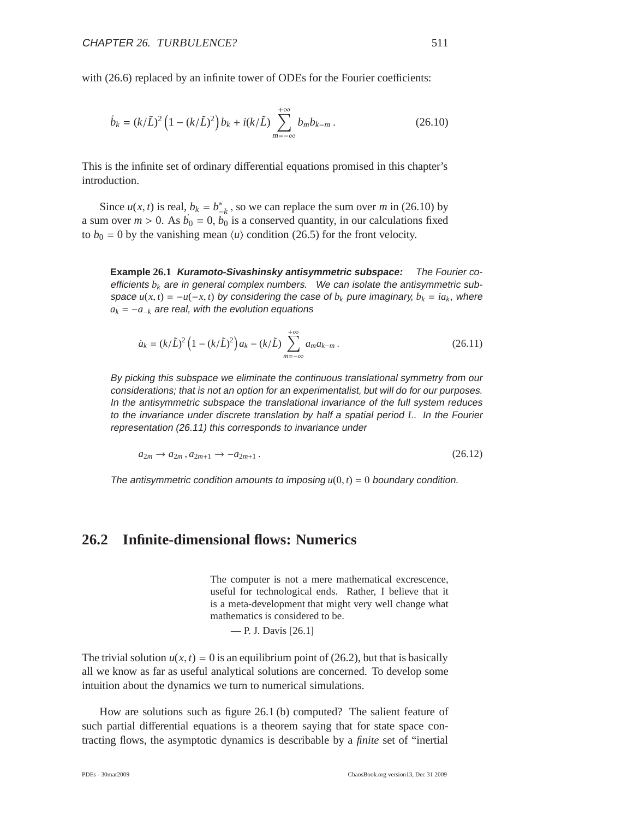with (26.6) replaced by an infinite tower of ODEs for the Fourier coefficients:

$$
\dot{b}_k = (k/\tilde{L})^2 \left( 1 - (k/\tilde{L})^2 \right) b_k + i(k/\tilde{L}) \sum_{m = -\infty}^{+\infty} b_m b_{k-m} \,. \tag{26.10}
$$

This is the infinite set of ordinary differential equations promised in this chapter's introduction.

Since  $u(x, t)$  is real,  $b_k = b_{-k}^*$ , so we can replace the sum over *m* in (26.10) by a sum over  $m > 0$ . As  $\vec{b}_0 = 0$ ,  $\vec{b}_0$  is a conserved quantity, in our calculations fixed to  $b_0 = 0$  by the vanishing mean  $\langle u \rangle$  condition (26.5) for the front velocity.

**Example 26.1 Kuramoto-Sivashinsky antisymmetric subspace:** The Fourier coefficients *b<sup>k</sup>* are in general complex numbers. We can isolate the antisymmetric subspace  $u(x, t) = -u(-x, t)$  by considering the case of  $b_k$  pure imaginary,  $b_k = ia_k$ , where  $a_k = -a_{-k}$  are real, with the evolution equations

$$
\dot{a}_k = (k/\tilde{L})^2 \left( 1 - (k/\tilde{L})^2 \right) a_k - (k/\tilde{L}) \sum_{m=-\infty}^{+\infty} a_m a_{k-m} \,. \tag{26.11}
$$

By picking this subspace we eliminate the continuous translational symmetry from our considerations; that is not an option for an experimentalist, but will do for our purposes. In the antisymmetric subspace the translational invariance of the full system reduces to the invariance under discrete translation by half <sup>a</sup> spatial period *L*. In the Fourier representation (26.11) this corresponds to invariance under

$$
a_{2m} \to a_{2m}, a_{2m+1} \to -a_{2m+1}.
$$
\n(26.12)

The antisymmetric condition amounts to imposing  $u(0, t) = 0$  boundary condition.

### **26.2 Infinite-dimensional flows: Numerics**

The computer is not a mere mathematical excrescence, useful for technological ends. Rather, I believe that it is a meta-development that might very well change what mathematics is considered to be.

— P. J. Davis 
$$
[26.1]
$$

The trivial solution  $u(x, t) = 0$  is an equilibrium point of (26.2), but that is basically all we know as far as useful analytical solutions are concerned. To develop some intuition about the dynamics we turn to numerical simulations.

How are solutions such as figure 26.1 (b) computed? The salient feature of such partial differential equations is a theorem saying that for state space contracting flows, the asymptotic dynamics is describable by a *finite* set of "inertial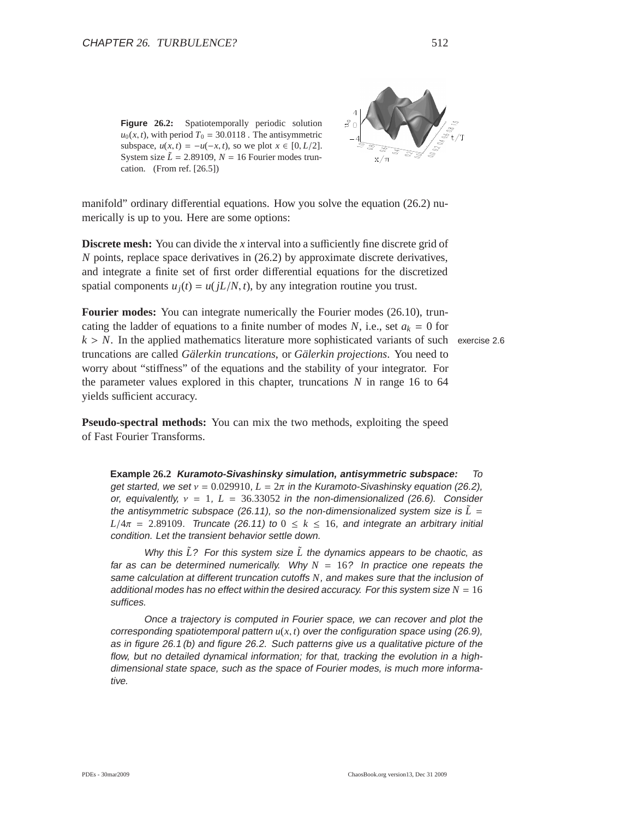

**Figure 26.2:** Spatiotemporally periodic solution  $u_0(x, t)$ , with period  $T_0 = 30.0118$ . The antisymmetric subspace,  $u(x, t) = -u(-x, t)$ , so we plot  $x \in [0, L/2]$ . System size  $\tilde{L} = 2.89109$ ,  $N = 16$  Fourier modes truncation. (From ref. [26.5])

manifold" ordinary differential equations. How you solve the equation (26.2) numerically is up to you. Here are some options:

**Discrete mesh:** You can divide the *x* interval into a sufficiently fine discrete grid of *N* points, replace space derivatives in (26.2) by approximate discrete derivatives, and integrate a finite set of first order differential equations for the discretized spatial components  $u_i(t) = u(iL/N, t)$ , by any integration routine you trust.

Fourier modes: You can integrate numerically the Fourier modes (26.10), truncating the ladder of equations to a finite number of modes *N*, i.e., set  $a_k = 0$  for  $k > N$ . In the applied mathematics literature more sophisticated variants of such exercise 2.6 truncations are called *G¨alerkin truncations*, or *G¨alerkin projections*. You need to worry about "stiffness" of the equations and the stability of your integrator. For the parameter values explored in this chapter, truncations *N* in range 16 to 64 yields sufficient accuracy.

**Pseudo-spectral methods:** You can mix the two methods, exploiting the speed of Fast Fourier Transforms.

**Example 26.2 Kuramoto-Sivashinsky simulation, antisymmetric subspace:** To get started, we set  $v = 0.029910$ ,  $L = 2\pi$  in the Kuramoto-Sivashinsky equation (26.2), or, equivalently,  $v = 1$ ,  $L = 36.33052$  in the non-dimensionalized (26.6). Consider the antisymmetric subspace (26.11), so the non-dimensionalized system size is  $\tilde{L} =$ *L*/4 $\pi$  = 2.89109. Truncate (26.11) to  $0 \le k \le 16$ , and integrate an arbitrary initial condition. Let the transient behavior settle down.

Why this  $\tilde{L}$ ? For this system size  $\tilde{L}$  the dynamics appears to be chaotic, as far as can be determined numerically. Why  $N = 16$ ? In practice one repeats the same calculation at different truncation cutoffs *N*, and makes sure that the inclusion of additional modes has no effect within the desired accuracy. For this system size  $N = 16$ suffices.

Once <sup>a</sup> trajectory is computed in Fourier space, we can recover and plot the corresponding spatiotemporal pattern *u*(*x*, *t*) over the configuration space using (26.9), as in figure 26.1 (b) and figure 26.2. Such patterns give us <sup>a</sup> qualitative picture of the flow, but no detailed dynamical information; for that, tracking the evolution in a highdimensional state space, such as the space of Fourier modes, is much more informative.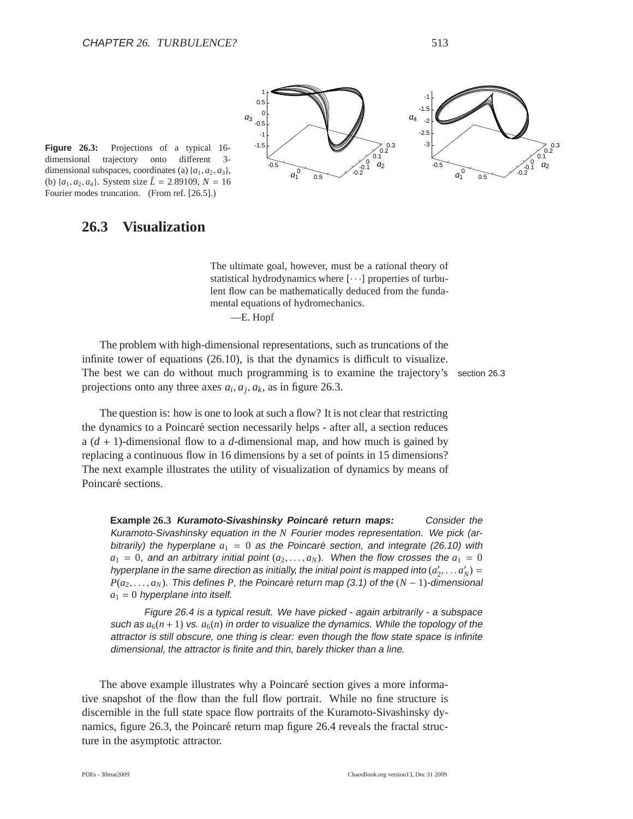

**Figure 26.3:** Projections of a typical 16 dimensional trajectory onto different 3 dimensional subspaces, coordinates (a)  $\{a_1, a_2, a_3\}$ , (b)  $\{a_1, a_2, a_4\}$ . System size  $\tilde{L} = 2.89109$ ,  $N = 16$ Fourier modes truncation. (From ref. [26.5].)

## **26.3 Visualization**

The ultimate goal, however, must be a rational theory of statistical hydrodynamics where [· · ·] properties of turbulent flow can be mathematically deduced from the fundamental equations of hydromechanics. —E. Hopf

The problem with high-dimensional representations, such as truncations of the infinite tower of equations (26.10), is that the dynamics is difficult to visualize. The best we can do without much programming is to examine the trajectory's section 26.3 projections onto any three axes  $a_i$ ,  $a_j$ ,  $a_k$ , as in figure 26.3.

The question is: how is one to look at such a flow? It is not clear that restricting the dynamics to a Poincar´e section necessarily helps - after all, a section reduces a (*d* + 1)-dimensional flow to a *d*-dimensional map, and how much is gained by replacing a continuous flow in 16 dimensions by a set of points in 15 dimensions? The next example illustrates the utility of visualization of dynamics by means of Poincaré sections.

**Example 26.3 Kuramoto-Sivashinsky Poincare return maps: ´** Consider the Kuramoto-Sivashinsky equation in the *N* Fourier modes representation. We pick (arbitrarily) the hyperplane  $a_1 = 0$  as the Poincaré section, and integrate (26.10) with  $a_1 = 0$ , and an arbitrary initial point  $(a_2, \ldots, a_N)$ . When the flow crosses the  $a_1 = 0$ hyperplane in the same direction as initially, the initial point is mapped into  $(a'_2,\ldots a'_N)$  =  $P(a_2, \ldots, a_N)$ . This defines *P*, the Poincaré return map (3.1) of the  $(N-1)$ -dimensional  $a_1 = 0$  hyperplane into itself.

Figure 26.4 is <sup>a</sup> typical result. We have picked - again arbitrarily - <sup>a</sup> subspace such as  $a_6(n + 1)$  vs.  $a_6(n)$  in order to visualize the dynamics. While the topology of the attractor is still obscure, one thing is clear: even though the flow state space is infinite dimensional, the attractor is finite and thin, barely thicker than <sup>a</sup> line.

The above example illustrates why a Poincaré section gives a more informative snapshot of the flow than the full flow portrait. While no fine structure is discernible in the full state space flow portraits of the Kuramoto-Sivashinsky dynamics, figure 26.3, the Poincaré return map figure 26.4 reveals the fractal structure in the asymptotic attractor.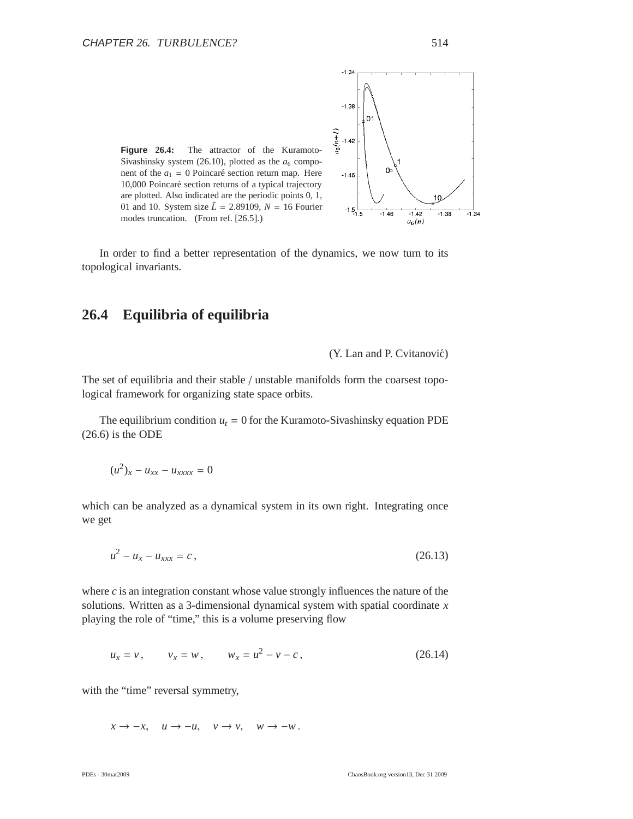



In order to find a better representation of the dynamics, we now turn to its topological invariants.

## **26.4 Equilibria of equilibria**

(Y. Lan and P. Cvitanović)

The set of equilibria and their stable / unstable manifolds form the coarsest topological framework for organizing state space orbits.

The equilibrium condition  $u_t = 0$  for the Kuramoto-Sivashinsky equation PDE (26.6) is the ODE

$$
(u^2)_x - u_{xx} - u_{xxxxx} = 0
$$

which can be analyzed as a dynamical system in its own right. Integrating once we get

$$
u^2 - u_x - u_{xxx} = c \,, \tag{26.13}
$$

where  $c$  is an integration constant whose value strongly influences the nature of the solutions. Written as a 3-dimensional dynamical system with spatial coordinate *x* playing the role of "time," this is a volume preserving flow

$$
u_x = v, \qquad v_x = w, \qquad w_x = u^2 - v - c, \tag{26.14}
$$

with the "time" reversal symmetry,

$$
x \to -x, \quad u \to -u, \quad v \to v, \quad w \to -w.
$$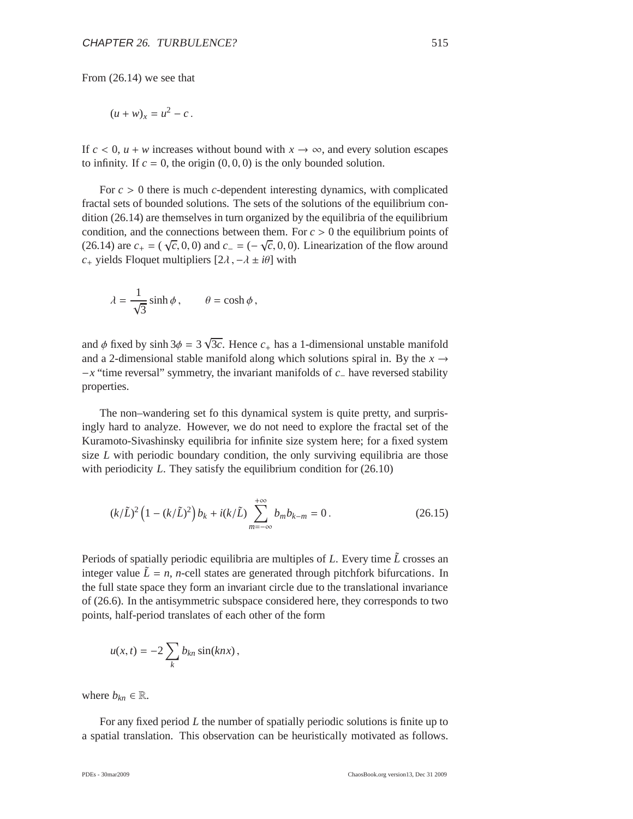From (26.14) we see that

$$
(u+w)_x=u^2-c.
$$

If  $c < 0$ ,  $u + w$  increases without bound with  $x \to \infty$ , and every solution escapes to infinity. If  $c = 0$ , the origin  $(0, 0, 0)$  is the only bounded solution.

For  $c > 0$  there is much *c*-dependent interesting dynamics, with complicated fractal sets of bounded solutions. The sets of the solutions of the equilibrium condition (26.14) are themselves in turn organized by the equilibria of the equilibrium condition, and the connections between them. For  $c > 0$  the equilibrium points of (26.14) are  $c_+ = (\sqrt{c}, 0, 0)$  and  $c_- = (-\sqrt{c}, 0, 0)$ . Linearization of the flow around *c*+ yields Floquet multipliers  $[2\lambda, -\lambda \pm i\theta]$  with

$$
\lambda = \frac{1}{\sqrt{3}} \sinh \phi, \qquad \theta = \cosh \phi,
$$

and  $\phi$  fixed by sinh  $3\phi = 3\sqrt{3c}$ . Hence  $c_+$  has a 1-dimensional unstable manifold and a 2-dimensional stable manifold along which solutions spiral in. By the  $x \rightarrow$ −*x* "time reversal" symmetry, the invariant manifolds of *c*<sup>−</sup> have reversed stability properties.

The non–wandering set fo this dynamical system is quite pretty, and surprisingly hard to analyze. However, we do not need to explore the fractal set of the Kuramoto-Sivashinsky equilibria for infinite size system here; for a fixed system size *L* with periodic boundary condition, the only surviving equilibria are those with periodicity *L*. They satisfy the equilibrium condition for (26.10)

$$
(k/\tilde{L})^2 \left(1 - (k/\tilde{L})^2\right) b_k + i(k/\tilde{L}) \sum_{m = -\infty}^{+\infty} b_m b_{k-m} = 0. \tag{26.15}
$$

Periods of spatially periodic equilibria are multiples of  $L$ . Every time  $\tilde{L}$  crosses an integer value  $\tilde{L} = n$ , *n*-cell states are generated through pitchfork bifurcations. In the full state space they form an invariant circle due to the translational invariance of (26.6). In the antisymmetric subspace considered here, they corresponds to two points, half-period translates of each other of the form

$$
u(x,t) = -2\sum_{k} b_{kn} \sin(knx),
$$

where  $b_{kn} \in \mathbb{R}$ .

For any fixed period *L* the number of spatially periodic solutions is finite up to a spatial translation. This observation can be heuristically motivated as follows.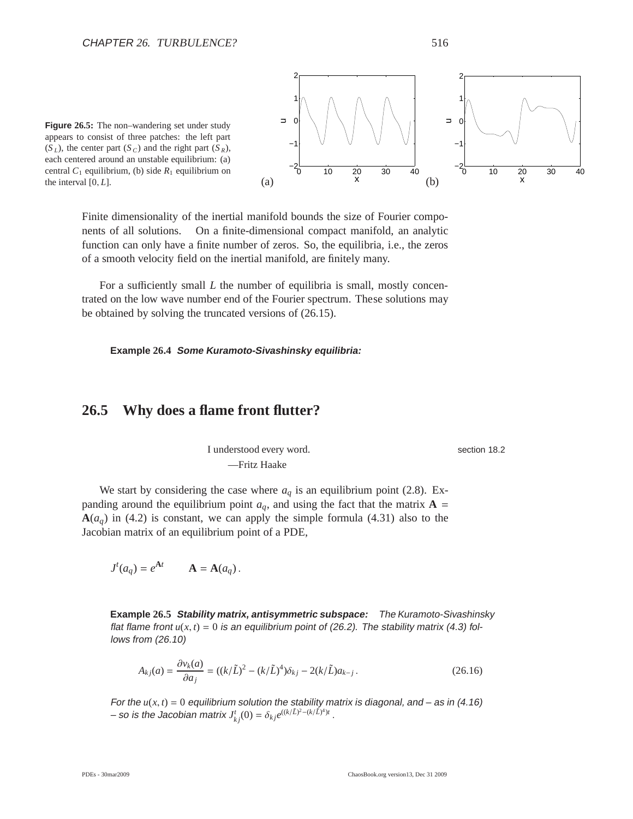



Finite dimensionality of the inertial manifold bounds the size of Fourier components of all solutions. On a finite-dimensional compact manifold, an analytic function can only have a finite number of zeros. So, the equilibria, i.e., the zeros of a smooth velocity field on the inertial manifold, are finitely many.

For a sufficiently small *L* the number of equilibria is small, mostly concentrated on the low wave number end of the Fourier spectrum. These solutions may be obtained by solving the truncated versions of (26.15).

**Example 26.4 Some Kuramoto-Sivashinsky equilibria:**

## **26.5 Why does a flame front flutter?**

| I understood every word. |  |
|--------------------------|--|
| —Fritz Haake             |  |

section 18.2

We start by considering the case where  $a_q$  is an equilibrium point (2.8). Expanding around the equilibrium point  $a_q$ , and using the fact that the matrix  $\mathbf{A} =$  $A(a_q)$  in (4.2) is constant, we can apply the simple formula (4.31) also to the Jacobian matrix of an equilibrium point of a PDE,

$$
J^t(a_q) = e^{\mathbf{A}t} \qquad \mathbf{A} = \mathbf{A}(a_q).
$$

**Example 26.5 Stability matrix, antisymmetric subspace:** The Kuramoto-Sivashinsky flat flame front  $u(x, t) = 0$  is an equilibrium point of (26.2). The stability matrix (4.3) follows from (26.10)

$$
A_{kj}(a) = \frac{\partial v_k(a)}{\partial a_j} = ((k/\tilde{L})^2 - (k/\tilde{L})^4)\delta_{kj} - 2(k/\tilde{L})a_{k-j}.
$$
 (26.16)

For the  $u(x, t) = 0$  equilibrium solution the stability matrix is diagonal, and – as in (4.16)  $-$  so is the Jacobian matrix  $J_{kj}^t(0) = \delta_{kj} e^{((k/\tilde{L})^2 - (k/\tilde{L})^4)t}$  .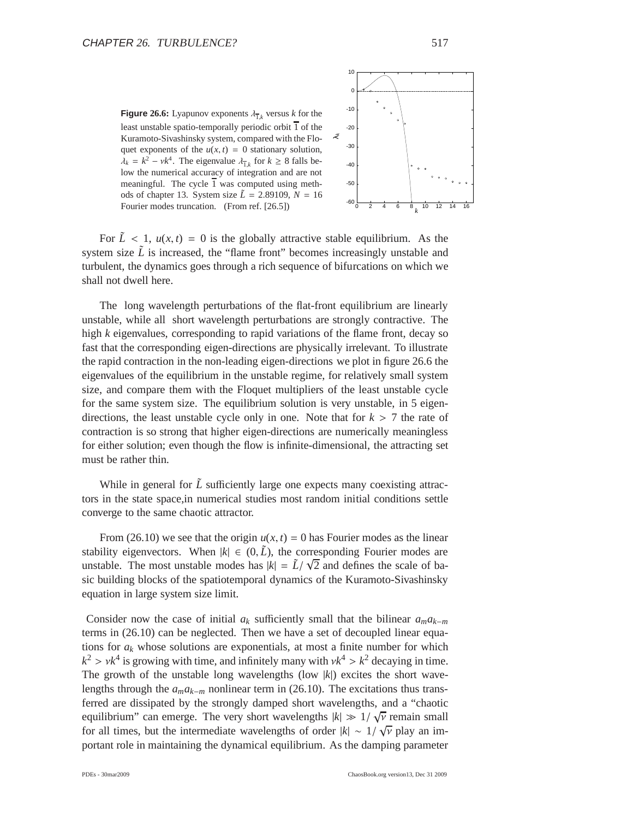**Figure** 26.6: Lyapunov exponents  $\lambda_{\overline{1},k}$  versus *k* for the least unstable spatio-temporally periodic orbit  $\overline{1}$  of the Kuramoto-Sivashinsky system, compared with the Floquet exponents of the  $u(x, t) = 0$  stationary solution,  $\lambda_k = k^2 - \nu k^4$ . The eigenvalue  $\lambda_{\overline{1},k}$  for  $k \ge 8$  falls below the numerical accuracy of integration and are not meaningful. The cycle  $\overline{1}$  was computed using methods of chapter 13. System size  $\tilde{L} = 2.89109$ ,  $N = 16$ Fourier modes truncation. (From ref.  $[26.5]$ )



For  $\tilde{L}$  < 1,  $u(x, t) = 0$  is the globally attractive stable equilibrium. As the system size  $\tilde{L}$  is increased, the "flame front" becomes increasingly unstable and turbulent, the dynamics goes through a rich sequence of bifurcations on which we shall not dwell here.

The long wavelength perturbations of the flat-front equilibrium are linearly unstable, while all short wavelength perturbations are strongly contractive. The high *k* eigenvalues, corresponding to rapid variations of the flame front, decay so fast that the corresponding eigen-directions are physically irrelevant. To illustrate the rapid contraction in the non-leading eigen-directions we plot in figure 26.6 the eigenvalues of the equilibrium in the unstable regime, for relatively small system size, and compare them with the Floquet multipliers of the least unstable cycle for the same system size. The equilibrium solution is very unstable, in 5 eigendirections, the least unstable cycle only in one. Note that for  $k > 7$  the rate of contraction is so strong that higher eigen-directions are numerically meaningless for either solution; even though the flow is infinite-dimensional, the attracting set must be rather thin.

While in general for  $\tilde{L}$  sufficiently large one expects many coexisting attractors in the state space,in numerical studies most random initial conditions settle converge to the same chaotic attractor.

From (26.10) we see that the origin  $u(x, t) = 0$  has Fourier modes as the linear stability eigenvectors. When  $|k| \in (0, \tilde{L})$ , the corresponding Fourier modes are unstable. The most unstable modes has  $|k| = \tilde{L}/\sqrt{2}$  and defines the scale of basic building blocks of the spatiotemporal dynamics of the Kuramoto-Sivashinsky equation in large system size limit.

Consider now the case of initial  $a_k$  sufficiently small that the bilinear  $a_m a_{k-m}$ terms in (26.10) can be neglected. Then we have a set of decoupled linear equations for  $a_k$  whose solutions are exponentials, at most a finite number for which  $k^2 > vk^4$  is growing with time, and infinitely many with  $vk^4 > k^2$  decaying in time. The growth of the unstable long wavelengths (low |*k*|) excites the short wavelengths through the  $a_m a_{k-m}$  nonlinear term in (26.10). The excitations thus transferred are dissipated by the strongly damped short wavelengths, and a "chaotic equilibrium" can emerge. The very short wavelengths  $|k| \gg 1/\sqrt{\nu}$  remain small for all times, but the intermediate wavelengths of order  $|k| \sim 1/\sqrt{v}$  play an important role in maintaining the dynamical equilibrium. As the damping parameter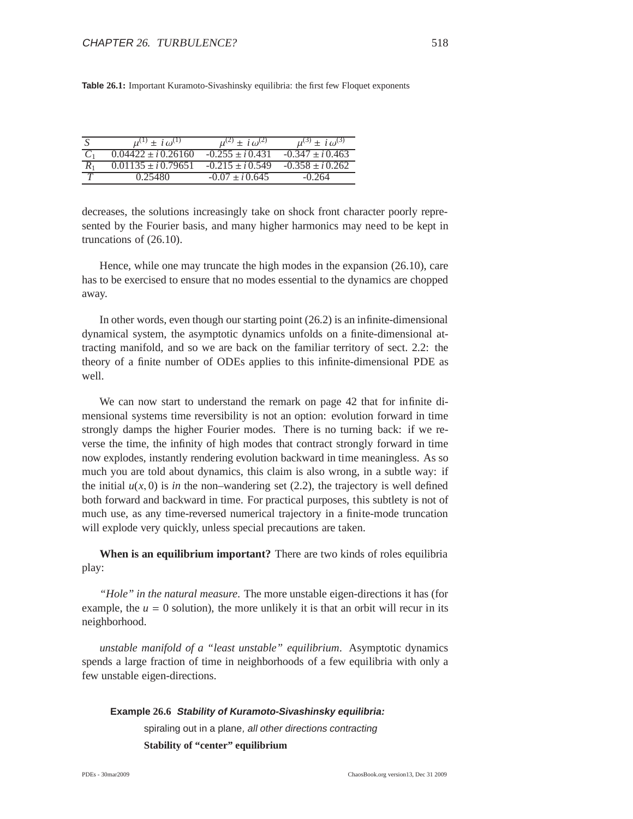**Table 26.1:** Important Kuramoto-Sivashinsky equilibria: the first few Floquet exponents

|       | $\mu^{(1)} \pm i \omega^{(1)}$ | $\mu^{(2)} \pm i \omega^{(2)}$ | $\mu^{(3)} \pm i \omega^{(3)}$ |
|-------|--------------------------------|--------------------------------|--------------------------------|
|       | $0.04422 \pm i 0.26160$        | $-0.255 \pm i 0.431$           | $-0.347 \pm i 0.463$           |
| $R_1$ | $0.01135 \pm i 0.79651$        | $-0.215 \pm i 0.549$           | $-0.358 \pm i 0.262$           |
| T     | 0.25480                        | $-0.07 \pm i 0.645$            | $-0.264$                       |

decreases, the solutions increasingly take on shock front character poorly represented by the Fourier basis, and many higher harmonics may need to be kept in truncations of (26.10).

Hence, while one may truncate the high modes in the expansion (26.10), care has to be exercised to ensure that no modes essential to the dynamics are chopped away.

In other words, even though our starting point (26.2) is an infinite-dimensional dynamical system, the asymptotic dynamics unfolds on a finite-dimensional attracting manifold, and so we are back on the familiar territory of sect. 2.2: the theory of a finite number of ODEs applies to this infinite-dimensional PDE as well.

We can now start to understand the remark on page 42 that for infinite dimensional systems time reversibility is not an option: evolution forward in time strongly damps the higher Fourier modes. There is no turning back: if we reverse the time, the infinity of high modes that contract strongly forward in time now explodes, instantly rendering evolution backward in time meaningless. As so much you are told about dynamics, this claim is also wrong, in a subtle way: if the initial  $u(x, 0)$  is *in* the non–wandering set (2.2), the trajectory is well defined both forward and backward in time. For practical purposes, this subtlety is not of much use, as any time-reversed numerical trajectory in a finite-mode truncation will explode very quickly, unless special precautions are taken.

**When is an equilibrium important?** There are two kinds of roles equilibria play:

*"Hole" in the natural measure*. The more unstable eigen-directions it has (for example, the  $u = 0$  solution), the more unlikely it is that an orbit will recur in its neighborhood.

*unstable manifold of a "least unstable" equilibrium*. Asymptotic dynamics spends a large fraction of time in neighborhoods of a few equilibria with only a few unstable eigen-directions.

#### **Example 26.6 Stability of Kuramoto-Sivashinsky equilibria:**

spiraling out in a plane, all other directions contracting **Stability of "center" equilibrium**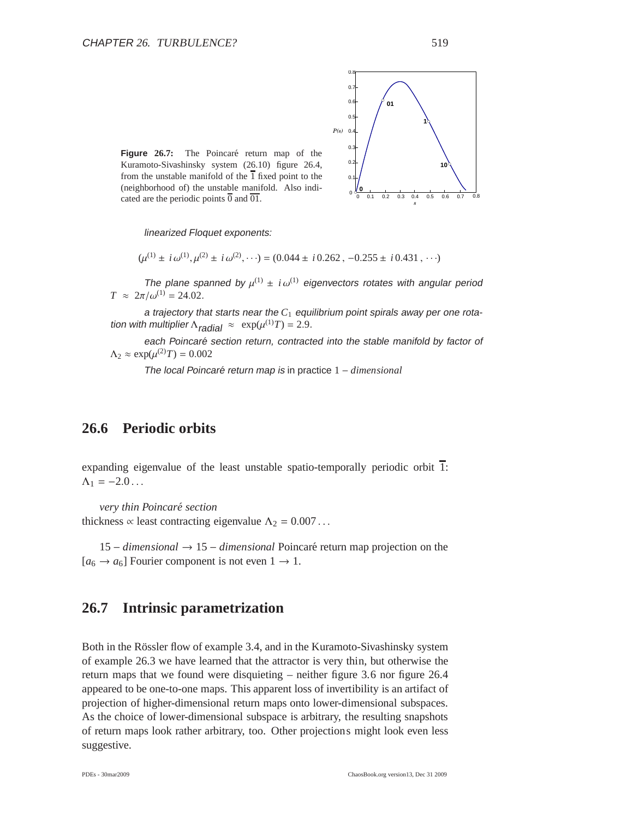

Figure 26.7: The Poincaré return map of the Kuramoto-Sivashinsky system (26.10) figure 26.4, from the unstable manifold of the  $\overline{1}$  fixed point to the (neighborhood of) the unstable manifold. Also indicated are the periodic points  $\overline{0}$  and  $\overline{01}$ .

linearized Floquet exponents:

$$
(\mu^{(1)} \pm i \omega^{(1)}, \mu^{(2)} \pm i \omega^{(2)}, \cdots) = (0.044 \pm i 0.262, -0.255 \pm i 0.431, \cdots)
$$

The plane spanned by  $\mu^{(1)} \pm i \omega^{(1)}$  eigenvectors rotates with angular period  $T \approx 2\pi/\omega^{(1)} = 24.02$ .

a trajectory that starts near the  $C_1$  equilibrium point spirals away per one rotation with multiplier  $\Lambda_{radial} \approx \exp(\mu^{(1)}T) = 2.9$ .

each Poincaré section return, contracted into the stable manifold by factor of  $\Lambda_2 \approx \exp(\mu^{(2)}T) = 0.002$ 

The local Poincaré return map is in practice 1 − *dimensional* 

## **26.6 Periodic orbits**

expanding eigenvalue of the least unstable spatio-temporally periodic orbit  $\overline{1}$ :  $\Lambda_1 = -2.0 \ldots$ 

*very thin Poincar´e section*

thickness  $\propto$  least contracting eigenvalue  $\Lambda_2 = 0.007...$ 

15 − *dimensional* → 15 − *dimensional* Poincar´e return map projection on the  $[a_6 \rightarrow a_6]$  Fourier component is not even  $1 \rightarrow 1$ .

## **26.7 Intrinsic parametrization**

Both in the Rössler flow of example 3.4, and in the Kuramoto-Sivashinsky system of example 26.3 we have learned that the attractor is very thin, but otherwise the return maps that we found were disquieting – neither figure 3.6 nor figure 26.4 appeared to be one-to-one maps. This apparent loss of invertibility is an artifact of projection of higher-dimensional return maps onto lower-dimensional subspaces. As the choice of lower-dimensional subspace is arbitrary, the resulting snapshots of return maps look rather arbitrary, too. Other projections might look even less suggestive.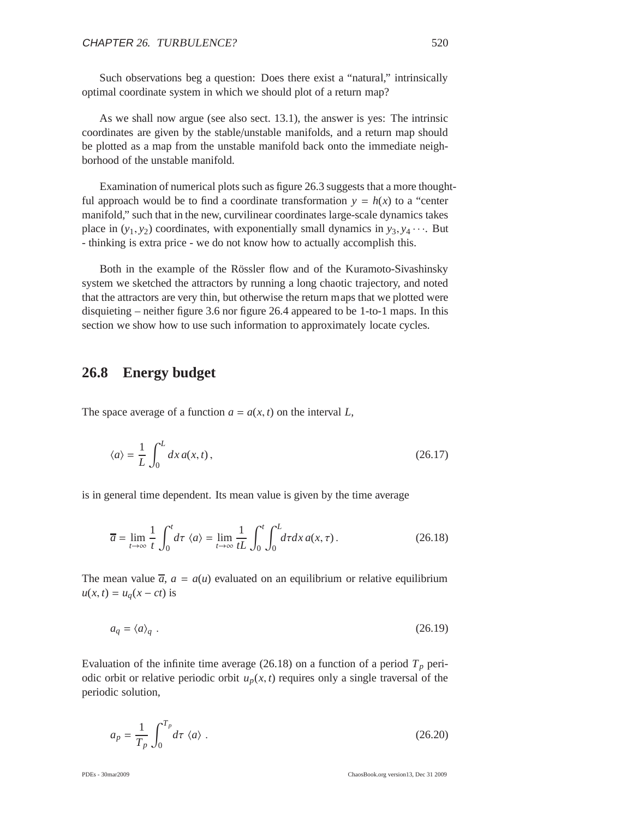Such observations beg a question: Does there exist a "natural," intrinsically optimal coordinate system in which we should plot of a return map?

As we shall now argue (see also sect. 13.1), the answer is yes: The intrinsic coordinates are given by the stable/unstable manifolds, and a return map should be plotted as a map from the unstable manifold back onto the immediate neighborhood of the unstable manifold.

Examination of numerical plots such as figure 26.3 suggests that a more thoughtful approach would be to find a coordinate transformation  $y = h(x)$  to a "center" manifold," such that in the new, curvilinear coordinates large-scale dynamics takes place in  $(y_1, y_2)$  coordinates, with exponentially small dynamics in  $y_3, y_4 \cdots$ . But - thinking is extra price - we do not know how to actually accomplish this.

Both in the example of the Rössler flow and of the Kuramoto-Sivashinsky system we sketched the attractors by running a long chaotic trajectory, and noted that the attractors are very thin, but otherwise the return maps that we plotted were disquieting – neither figure 3.6 nor figure 26.4 appeared to be 1-to-1 maps. In this section we show how to use such information to approximately locate cycles.

## **26.8 Energy budget**

The space average of a function  $a = a(x, t)$  on the interval *L*,

$$
\langle a \rangle = \frac{1}{L} \int_0^L dx \, a(x, t), \tag{26.17}
$$

is in general time dependent. Its mean value is given by the time average

$$
\overline{a} = \lim_{t \to \infty} \frac{1}{t} \int_0^t d\tau \ \langle a \rangle = \lim_{t \to \infty} \frac{1}{t} \int_0^t \int_0^L d\tau dx \, a(x, \tau).
$$
 (26.18)

The mean value  $\overline{a}$ ,  $a = a(u)$  evaluated on an equilibrium or relative equilibrium  $u(x, t) = u_q(x - ct)$  is

$$
a_q = \langle a \rangle_q \ . \tag{26.19}
$$

Evaluation of the infinite time average (26.18) on a function of a period  $T_p$  periodic orbit or relative periodic orbit  $u_p(x, t)$  requires only a single traversal of the periodic solution,

$$
a_p = \frac{1}{T_p} \int_0^{T_p} d\tau \langle a \rangle \,. \tag{26.20}
$$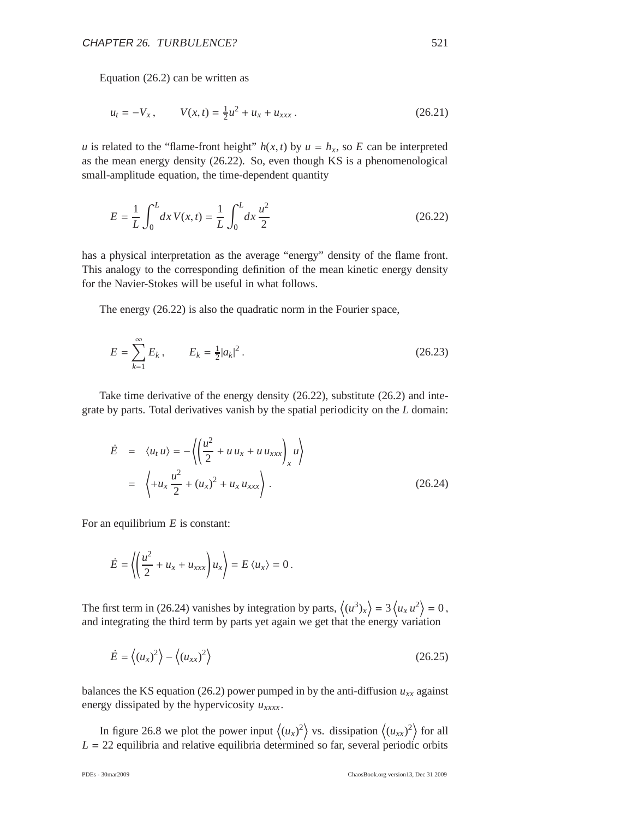Equation (26.2) can be written as

$$
u_t = -V_x, \qquad V(x,t) = \frac{1}{2}u^2 + u_x + u_{xxx} \,. \tag{26.21}
$$

*u* is related to the "flame-front height"  $h(x, t)$  by  $u = h_x$ , so *E* can be interpreted as the mean energy density (26.22). So, even though KS is a phenomenological small-amplitude equation, the time-dependent quantity

$$
E = \frac{1}{L} \int_0^L dx \, V(x, t) = \frac{1}{L} \int_0^L dx \, \frac{u^2}{2} \tag{26.22}
$$

has a physical interpretation as the average "energy" density of the flame front. This analogy to the corresponding definition of the mean kinetic energy density for the Navier-Stokes will be useful in what follows.

The energy (26.22) is also the quadratic norm in the Fourier space,

$$
E = \sum_{k=1}^{\infty} E_k, \qquad E_k = \frac{1}{2} |a_k|^2.
$$
 (26.23)

Take time derivative of the energy density (26.22), substitute (26.2) and integrate by parts. Total derivatives vanish by the spatial periodicity on the *L* domain:

$$
\dot{E} = \langle u_t u \rangle = -\left\langle \left( \frac{u^2}{2} + u u_x + u u_{xxx} \right)_x u \right\rangle
$$
  
=  $\left\langle +u_x \frac{u^2}{2} + (u_x)^2 + u_x u_{xxx} \right\rangle$ . (26.24)

For an equilibrium *E* is constant:

$$
\dot{E} = \left\langle \left( \frac{u^2}{2} + u_x + u_{xxx} \right) u_x \right\rangle = E \left\langle u_x \right\rangle = 0.
$$

The first term in (26.24) vanishes by integration by parts,  $\langle (u^3)_x \rangle = 3 \langle u_x u^2 \rangle = 0$ , and integrating the third term by parts yet again we get that the energy variation

$$
\dot{E} = \left\langle (u_x)^2 \right\rangle - \left\langle (u_{xx})^2 \right\rangle \tag{26.25}
$$

balances the KS equation (26.2) power pumped in by the anti-diffusion  $u_{xx}$  against energy dissipated by the hypervicosity  $u_{xxxx}$ .

In figure 26.8 we plot the power input  $\langle (u_x)^2 \rangle$  vs. dissipation  $\langle (u_{xx})^2 \rangle$  for all  $L = 22$  equilibria and relative equilibria determined so far, several periodic orbits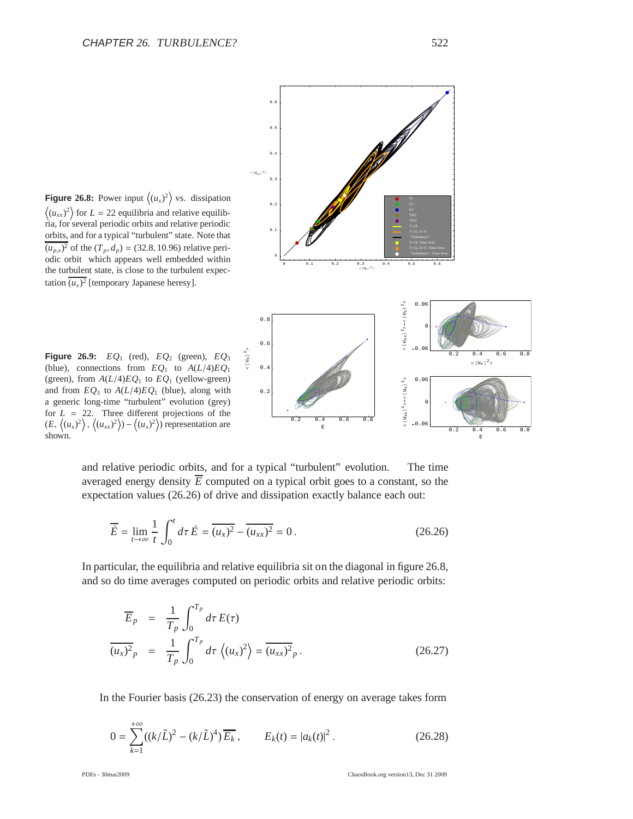

**Figure 26.8:** Power input  $\langle (u_x)^2 \rangle$  vs. dissipation  $\langle (u_{xx})^2 \rangle$  for  $L = 22$  equilibria and relative equilibria, for several periodic orbits and relative periodic orbits, and for a typical "turbulent" state. Note that  $(u_{p,x})^2$  of the  $(T_p, d_p) = (32.8, 10.96)$  relative periodic orbit which appears well embedded within the turbulent state, is close to the turbulent expectation  $(u_x)^2$  [temporary Japanese heresy].

**Figure** 26.9:  $EQ_1$  (red),  $EQ_2$  (green),  $EQ_3$ (blue), connections from  $EQ_1$  to  $A(L/4)EQ_1$ (green), from  $A(L/4)EQ_1$  to  $EQ_1$  (yellow-green) and from  $EQ_3$  to  $A(L/4)EQ_1$  (blue), along with a generic long-time "turbulent" evolution (grey) for  $L = 22$ . Three different projections of the  $(E, \langle (u_x)^2 \rangle, \langle (u_{xx})^2 \rangle) - \langle (u_x)^2 \rangle)$  representation are shown.

and relative periodic orbits, and for a typical "turbulent" evolution. The time averaged energy density  $\overline{E}$  computed on a typical orbit goes to a constant, so the expectation values (26.26) of drive and dissipation exactly balance each out:

$$
\overline{\vec{E}} = \lim_{t \to \infty} \frac{1}{t} \int_0^t d\tau \, \vec{E} = \overline{(u_x)^2} - \overline{(u_{xx})^2} = 0 \,. \tag{26.26}
$$

In particular, the equilibria and relative equilibria sit on the diagonal in figure 26.8, and so do time averages computed on periodic orbits and relative periodic orbits:

$$
\overline{E}_p = \frac{1}{T_p} \int_0^{T_p} d\tau E(\tau)
$$
\n
$$
\overline{(u_x)^2}_p = \frac{1}{T_p} \int_0^{T_p} d\tau \left\langle (u_x)^2 \right\rangle = \overline{(u_{xx})^2}_p. \tag{26.27}
$$

In the Fourier basis (26.23) the conservation of energy on average takes form

$$
0 = \sum_{k=1}^{+\infty} ((k/\tilde{L})^2 - (k/\tilde{L})^4) \overline{E_k}, \qquad E_k(t) = |a_k(t)|^2.
$$
 (26.28)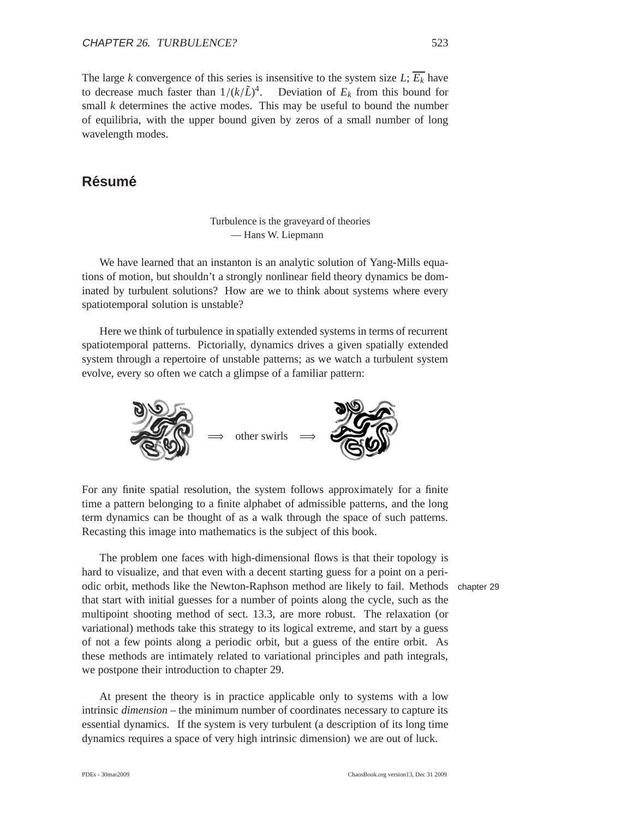The large *k* convergence of this series is insensitive to the system size  $L$ ;  $\overline{E_k}$  have to decrease much faster than  $1/(k/\tilde{L})^4$ Deviation of  $E_k$  from this bound for small *k* determines the active modes. This may be useful to bound the number of equilibria, with the upper bound given by zeros of a small number of long wavelength modes.

## **Résumé**

Turbulence is the graveyard of theories — Hans W. Liepmann

We have learned that an instanton is an analytic solution of Yang-Mills equations of motion, but shouldn't a strongly nonlinear field theory dynamics be dominated by turbulent solutions? How are we to think about systems where every spatiotemporal solution is unstable?

Here we think of turbulence in spatially extended systems in terms of recurrent spatiotemporal patterns. Pictorially, dynamics drives a given spatially extended system through a repertoire of unstable patterns; as we watch a turbulent system evolve, every so often we catch a glimpse of a familiar pattern:



For any finite spatial resolution, the system follows approximately for a finite time a pattern belonging to a finite alphabet of admissible patterns, and the long term dynamics can be thought of as a walk through the space of such patterns. Recasting this image into mathematics is the subject of this book.

The problem one faces with high-dimensional flows is that their topology is hard to visualize, and that even with a decent starting guess for a point on a periodic orbit, methods like the Newton-Raphson method are likely to fail. Methods chapter 29 that start with initial guesses for a number of points along the cycle, such as the multipoint shooting method of sect. 13.3, are more robust. The relaxation (or variational) methods take this strategy to its logical extreme, and start by a guess of not a few points along a periodic orbit, but a guess of the entire orbit. As these methods are intimately related to variational principles and path integrals, we postpone their introduction to chapter 29.

At present the theory is in practice applicable only to systems with a low intrinsic *dimension* – the minimum number of coordinates necessary to capture its essential dynamics. If the system is very turbulent (a description of its long time dynamics requires a space of very high intrinsic dimension) we are out of luck.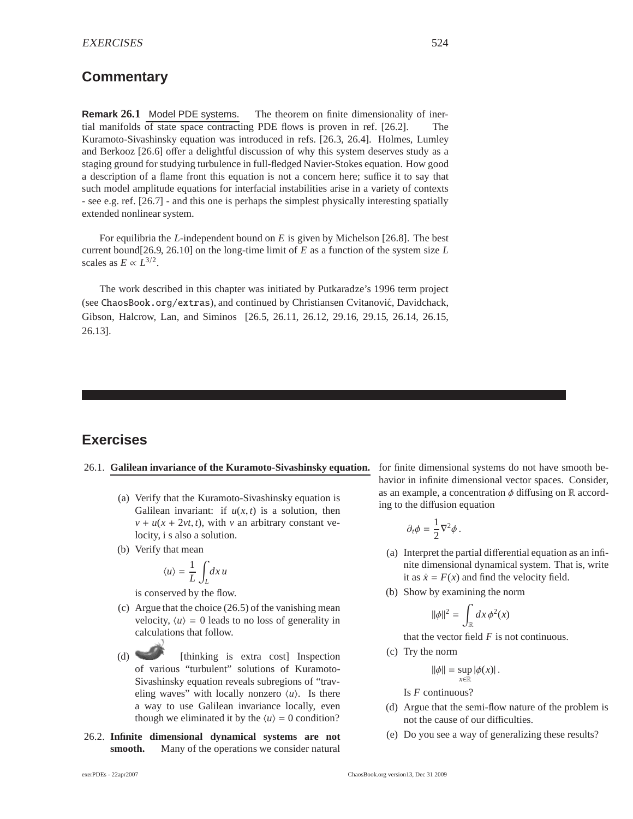## **Commentary**

**Remark 26.1** Model PDE systems. The theorem on finite dimensionality of inertial manifolds of state space contracting PDE flows is proven in ref. [26.2]. The Kuramoto-Sivashinsky equation was introduced in refs. [26.3, 26.4]. Holmes, Lumley and Berkooz [26.6] offer a delightful discussion of why this system deserves study as a staging ground for studying turbulence in full-fledged Navier-Stokes equation. How good a description of a flame front this equation is not a concern here; suffice it to say that such model amplitude equations for interfacial instabilities arise in a variety of contexts - see e.g. ref. [26.7] - and this one is perhaps the simplest physically interesting spatially extended nonlinear system.

For equilibria the *L*-independent bound on *E* is given by Michelson [26.8]. The best current bound[26.9, 26.10] on the long-time limit of *E* as a function of the system size *L* scales as  $E \propto L^{3/2}$ .

The work described in this chapter was initiated by Putkaradze's 1996 term project (see ChaosBook.org/extras), and continued by Christiansen Cvitanović, Davidchack, Gibson, Halcrow, Lan, and Siminos [26.5, 26.11, 26.12, 29.16, 29.15, 26.14, 26.15, 26.13].

## **Exercises**

#### 26.1. **Galilean invariance of the Kuramoto-Sivashinsky equation.**

- (a) Verify that the Kuramoto-Sivashinsky equation is Galilean invariant: if  $u(x, t)$  is a solution, then  $v + u(x + 2vt, t)$ , with *v* an arbitrary constant velocity, i s also a solution.
- (b) Verify that mean

$$
\langle u \rangle = \frac{1}{L} \int_{L} dx \, u
$$

is conserved by the flow.

- (c) Argue that the choice (26.5) of the vanishing mean velocity,  $\langle u \rangle = 0$  leads to no loss of generality in calculations that follow.
- (d) [thinking is extra cost] Inspection of various "turbulent" solutions of Kuramoto-Sivashinsky equation reveals subregions of "traveling waves" with locally nonzero  $\langle u \rangle$ . Is there a way to use Galilean invariance locally, even though we eliminated it by the  $\langle u \rangle = 0$  condition?
- 26.2. **Infinite dimensional dynamical systems are not smooth.** Many of the operations we consider natural

for finite dimensional systems do not have smooth behavior in infinite dimensional vector spaces. Consider, as an example, a concentration  $\phi$  diffusing on R according to the diffusion equation

$$
\partial_t \phi = \frac{1}{2} \nabla^2 \phi \,.
$$

- (a) Interpret the partial differential equation as an infinite dimensional dynamical system. That is, write it as  $\dot{x} = F(x)$  and find the velocity field.
- (b) Show by examining the norm

$$
\|\phi\|^2 = \int_{\mathbb{R}} dx \, \phi^2(x)
$$

that the vector field *F* is not continuous.

(c) Try the norm

$$
\|\phi\| = \sup_{x \in \mathbb{R}} |\phi(x)|.
$$

Is *F* continuous?

- (d) Argue that the semi-flow nature of the problem is not the cause of our difficulties.
- (e) Do you see a way of generalizing these results?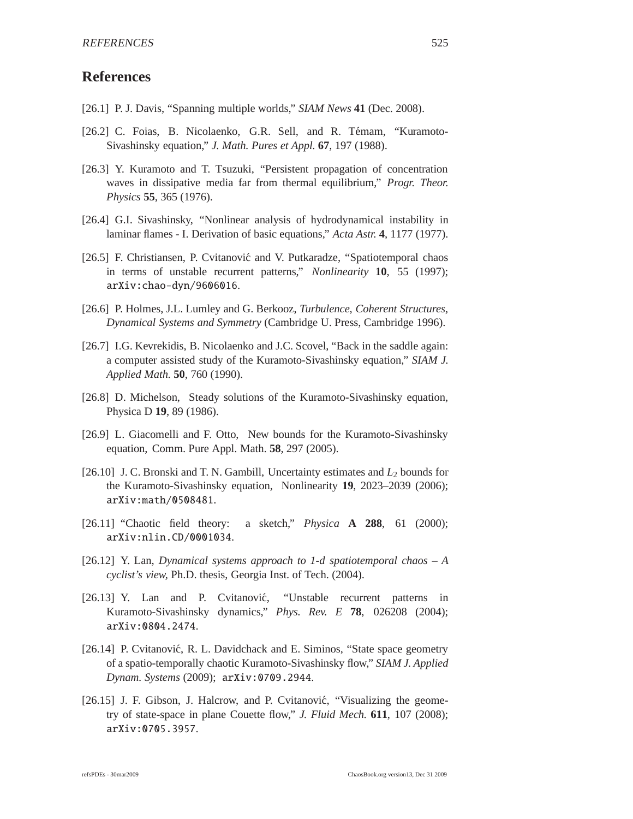## **References**

- [26.1] P. J. Davis, "Spanning multiple worlds," *SIAM News* **41** (Dec. 2008).
- [26.2] C. Foias, B. Nicolaenko, G.R. Sell, and R. Témam, "Kuramoto-Sivashinsky equation," *J. Math. Pures et Appl.* **67**, 197 (1988).
- [26.3] Y. Kuramoto and T. Tsuzuki, "Persistent propagation of concentration waves in dissipative media far from thermal equilibrium," *Progr. Theor. Physics* **55**, 365 (1976).
- [26.4] G.I. Sivashinsky, "Nonlinear analysis of hydrodynamical instability in laminar flames - I. Derivation of basic equations," *Acta Astr.* **4**, 1177 (1977).
- [26.5] F. Christiansen, P. Cvitanović and V. Putkaradze, "Spatiotemporal chaos in terms of unstable recurrent patterns," *Nonlinearity* **10**, 55 (1997); arXiv:chao-dyn/9606016.
- [26.6] P. Holmes, J.L. Lumley and G. Berkooz, *Turbulence, Coherent Structures, Dynamical Systems and Symmetry* (Cambridge U. Press, Cambridge 1996).
- [26.7] I.G. Kevrekidis, B. Nicolaenko and J.C. Scovel, "Back in the saddle again: a computer assisted study of the Kuramoto-Sivashinsky equation," *SIAM J. Applied Math.* **50**, 760 (1990).
- [26.8] D. Michelson, Steady solutions of the Kuramoto-Sivashinsky equation, Physica D **19**, 89 (1986).
- [26.9] L. Giacomelli and F. Otto, New bounds for the Kuramoto-Sivashinsky equation, Comm. Pure Appl. Math. **58**, 297 (2005).
- [26.10] J. C. Bronski and T. N. Gambill, Uncertainty estimates and *L*<sup>2</sup> bounds for the Kuramoto-Sivashinsky equation, Nonlinearity **19**, 2023–2039 (2006); arXiv:math/0508481.
- [26.11] "Chaotic field theory: a sketch," *Physica* **A 288**, 61 (2000); arXiv:nlin.CD/0001034.
- [26.12] Y. Lan, *Dynamical systems approach to 1-d spatiotemporal chaos A cyclist's view,* Ph.D. thesis, Georgia Inst. of Tech. (2004).
- [26.13] Y. Lan and P. Cvitanović, "Unstable recurrent patterns in Kuramoto-Sivashinsky dynamics," *Phys. Rev. E* **78**, 026208 (2004); arXiv:0804.2474.
- [26.14] P. Cvitanović, R. L. Davidchack and E. Siminos, "State space geometry of a spatio-temporally chaotic Kuramoto-Sivashinsky flow," *SIAM J. Applied Dynam. Systems* (2009); arXiv:0709.2944.
- [ $26.15$ ] J. F. Gibson, J. Halcrow, and P. Cvitanović, "Visualizing the geometry of state-space in plane Couette flow," *J. Fluid Mech.* **611**, 107 (2008); arXiv:0705.3957.